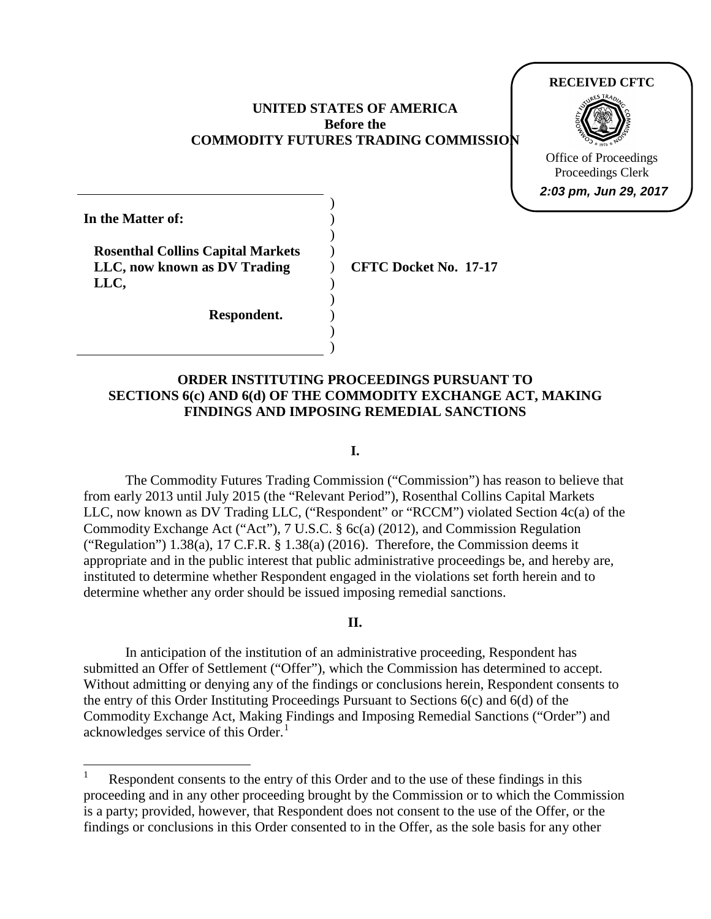### **UNITED STATES OF AMERICA Before the COMMODITY FUTURES TRADING COMMISSION**



) **In the Matter of: Rosenthal Collins Capital Markets LLC, now known as DV Trading LLC, Respondent.**  ) ) ) ) ) ) ) )

 $\overline{a}$ 

) **CFTC Docket No. 17-17**

# **ORDER INSTITUTING PROCEEDINGS PURSUANT TO SECTIONS 6(c) AND 6(d) OF THE COMMODITY EXCHANGE ACT, MAKING FINDINGS AND IMPOSING REMEDIAL SANCTIONS**

### **I.**

 The Commodity Futures Trading Commission ("Commission") has reason to believe that from early 2013 until July 2015 (the "Relevant Period"), Rosenthal Collins Capital Markets LLC, now known as DV Trading LLC, ("Respondent" or "RCCM") violated Section 4c(a) of the Commodity Exchange Act ("Act"), 7 U.S.C. § 6c(a) (2012), and Commission Regulation ("Regulation")  $1.38(a)$ ,  $17$  C.F.R. §  $1.38(a)$  (2016). Therefore, the Commission deems it appropriate and in the public interest that public administrative proceedings be, and hereby are, instituted to determine whether Respondent engaged in the violations set forth herein and to determine whether any order should be issued imposing remedial sanctions.

### **II.**

 Without admitting or denying any of the findings or conclusions herein, Respondent consents to the entry of this Order Instituting Proceedings Pursuant to Sections 6(c) and 6(d) of the Commodity Exchange Act, Making Findings and Imposing Remedial Sanctions ("Order") and acknowledges service of this Order.<sup>1</sup> In anticipation of the institution of an administrative proceeding, Respondent has submitted an Offer of Settlement ("Offer"), which the Commission has determined to accept.

 proceeding and in any other proceeding brought by the Commission or to which the Commission is a party; provided, however, that Respondent does not consent to the use of the Offer, or the Respondent consents to the entry of this Order and to the use of these findings in this findings or conclusions in this Order consented to in the Offer, as the sole basis for any other 1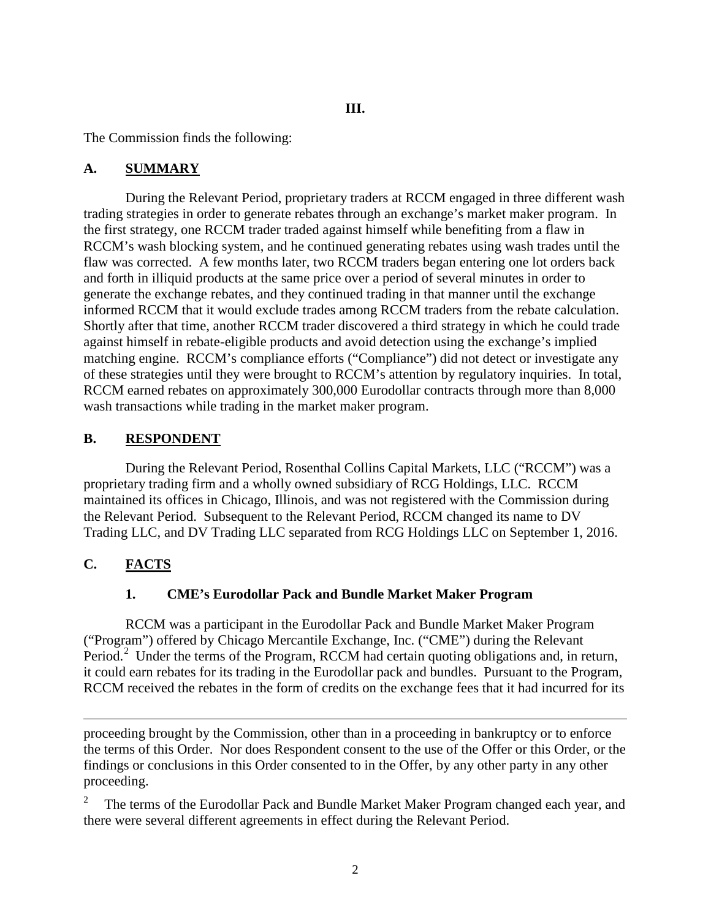**III.**

The Commission finds the following:

### **A. SUMMARY**

 During the Relevant Period, proprietary traders at RCCM engaged in three different wash the first strategy, one RCCM trader traded against himself while benefiting from a flaw in matching engine. RCCM's compliance efforts ("Compliance") did not detect or investigate any of these strategies until they were brought to RCCM's attention by regulatory inquiries. In total, trading strategies in order to generate rebates through an exchange's market maker program. In RCCM's wash blocking system, and he continued generating rebates using wash trades until the flaw was corrected. A few months later, two RCCM traders began entering one lot orders back and forth in illiquid products at the same price over a period of several minutes in order to generate the exchange rebates, and they continued trading in that manner until the exchange informed RCCM that it would exclude trades among RCCM traders from the rebate calculation. Shortly after that time, another RCCM trader discovered a third strategy in which he could trade against himself in rebate-eligible products and avoid detection using the exchange's implied RCCM earned rebates on approximately 300,000 Eurodollar contracts through more than 8,000 wash transactions while trading in the market maker program.

### **B.** RESPONDENT

 proprietary trading firm and a wholly owned subsidiary of RCG Holdings, LLC. RCCM the Relevant Period. Subsequent to the Relevant Period, RCCM changed its name to DV Trading LLC, and DV Trading LLC separated from RCG Holdings LLC on September 1, 2016. During the Relevant Period, Rosenthal Collins Capital Markets, LLC ("RCCM") was a maintained its offices in Chicago, Illinois, and was not registered with the Commission during

# **C. FACTS**

# **1. CME's Eurodollar Pack and Bundle Market Maker Program**

 ("Program") offered by Chicago Mercantile Exchange, Inc. ("CME") during the Relevant Period.<sup>2</sup> Under the terms of the Program, RCCM had certain quoting obligations and, in return, RCCM received the rebates in the form of credits on the exchange fees that it had incurred for its RCCM was a participant in the Eurodollar Pack and Bundle Market Maker Program it could earn rebates for its trading in the Eurodollar pack and bundles. Pursuant to the Program,

 $\overline{a}$  the terms of this Order. Nor does Respondent consent to the use of the Offer or this Order, or the proceeding brought by the Commission, other than in a proceeding in bankruptcy or to enforce findings or conclusions in this Order consented to in the Offer, by any other party in any other proceeding.

<span id="page-1-0"></span>The terms of the Eurodollar Pack and Bundle Market Maker Program changed each year, and there were several different agreements in effect during the Relevant Period. 2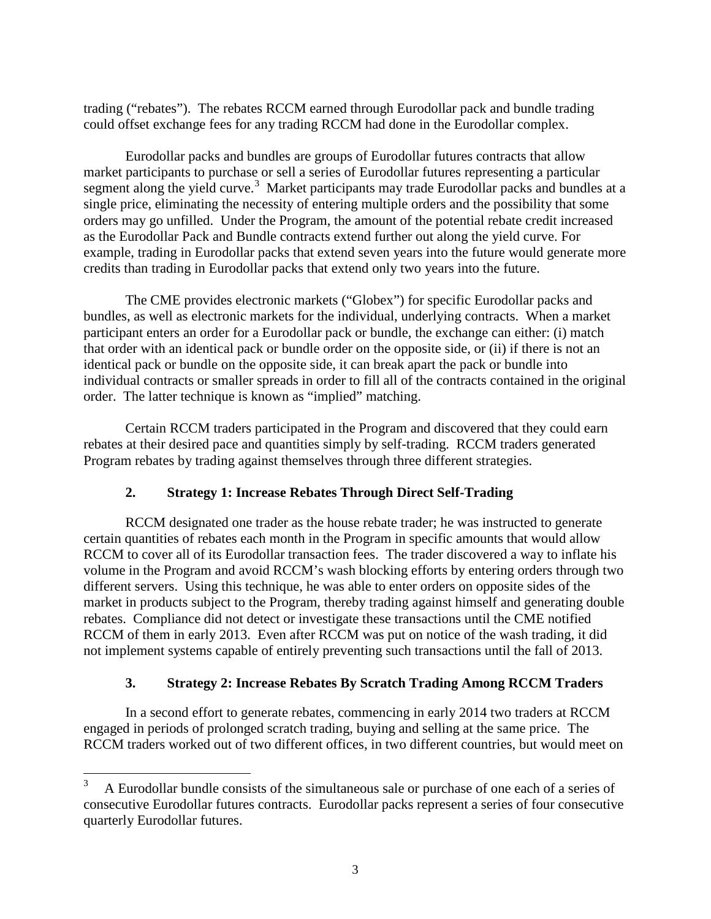trading ("rebates"). The rebates RCCM earned through Eurodollar pack and bundle trading could offset exchange fees for any trading RCCM had done in the Eurodollar complex.

 Eurodollar packs and bundles are groups of Eurodollar futures contracts that allow market participants to purchase or sell a series of Eurodollar futures representing a particular segment along the yield curve.<sup>3</sup> Market participants may trade Eurodollar packs and bundles at a single price, eliminating the necessity of entering multiple orders and the possibility that some orders may go unfilled. Under the Program, the amount of the potential rebate credit increased credits than trading in Eurodollar packs that extend only two years into the future. as the Eurodollar Pack and Bundle contracts extend further out along the yield curve. For example, trading in Eurodollar packs that extend seven years into the future would generate more

 The CME provides electronic markets ("Globex") for specific Eurodollar packs and bundles, as well as electronic markets for the individual, underlying contracts. When a market order. The latter technique is known as "implied" matching. participant enters an order for a Eurodollar pack or bundle, the exchange can either: (i) match that order with an identical pack or bundle order on the opposite side, or (ii) if there is not an identical pack or bundle on the opposite side, it can break apart the pack or bundle into individual contracts or smaller spreads in order to fill all of the contracts contained in the original

 rebates at their desired pace and quantities simply by self-trading. RCCM traders generated Certain RCCM traders participated in the Program and discovered that they could earn Program rebates by trading against themselves through three different strategies.

# **2. Strategy 1: Increase Rebates Through Direct Self-Trading**

RCCM designated one trader as the house rebate trader; he was instructed to generate certain quantities of rebates each month in the Program in specific amounts that would allow RCCM to cover all of its Eurodollar transaction fees. The trader discovered a way to inflate his volume in the Program and avoid RCCM's wash blocking efforts by entering orders through two different servers. Using this technique, he was able to enter orders on opposite sides of the market in products subject to the Program, thereby trading against himself and generating double rebates. Compliance did not detect or investigate these transactions until the CME notified RCCM of them in early 2013. Even after RCCM was put on notice of the wash trading, it did not implement systems capable of entirely preventing such transactions until the fall of 2013.

# **3. Strategy 2: Increase Rebates By Scratch Trading Among RCCM Traders**

In a second effort to generate rebates, commencing in early 2014 two traders at RCCM engaged in periods of prolonged scratch trading, buying and selling at the same price. The RCCM traders worked out of two different offices, in two different countries, but would meet on

 $\frac{1}{3}$  A Eurodollar bundle consists of the simultaneous sale or purchase of one each of a series of consecutive Eurodollar futures contracts. Eurodollar packs represent a series of four consecutive quarterly Eurodollar futures.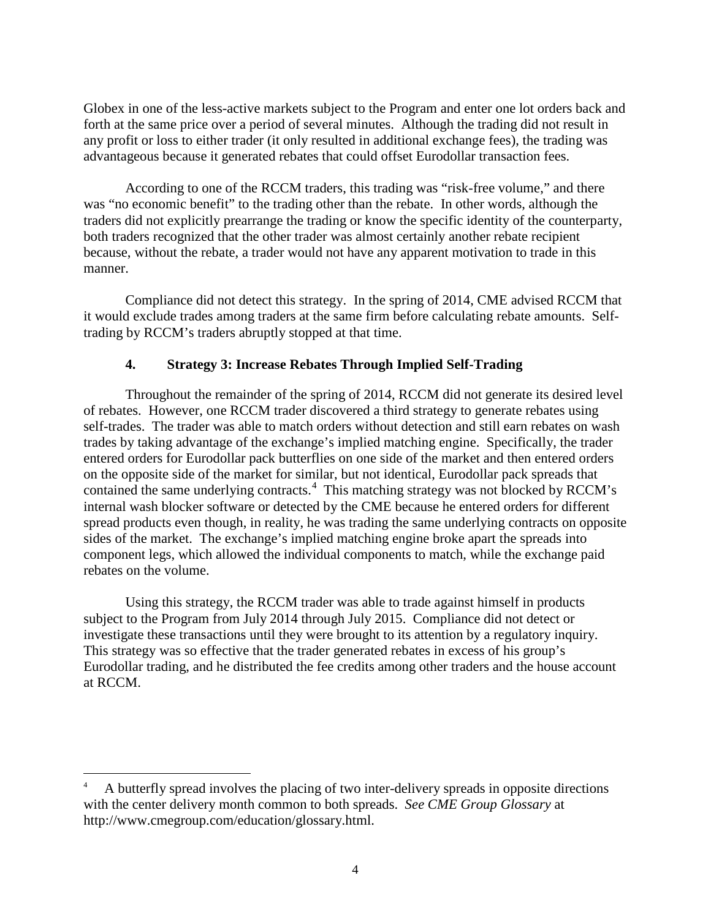Globex in one of the less-active markets subject to the Program and enter one lot orders back and forth at the same price over a period of several minutes. Although the trading did not result in any profit or loss to either trader (it only resulted in additional exchange fees), the trading was advantageous because it generated rebates that could offset Eurodollar transaction fees.

 was "no economic benefit" to the trading other than the rebate. In other words, although the because, without the rebate, a trader would not have any apparent motivation to trade in this manner. According to one of the RCCM traders, this trading was "risk-free volume," and there traders did not explicitly prearrange the trading or know the specific identity of the counterparty, both traders recognized that the other trader was almost certainly another rebate recipient

 manner. Compliance did not detect this strategy. In the spring of 2014, CME advised RCCM that it would exclude trades among traders at the same firm before calculating rebate amounts. Self-trading by RCCM's traders abruptly stopped at that time.

# **4. Strategy 3: Increase Rebates Through Implied Self-Trading**

 Throughout the remainder of the spring of 2014, RCCM did not generate its desired level of rebates. However, one RCCM trader discovered a third strategy to generate rebates using self-trades. The trader was able to match orders without detection and still earn rebates on wash trades by taking advantage of the exchange's implied matching engine. Specifically, the trader contained the same underlying contracts.<sup>4</sup> This matching strategy was not blocked by RCCM's entered orders for Eurodollar pack butterflies on one side of the market and then entered orders on the opposite side of the market for similar, but not identical, Eurodollar pack spreads that internal wash blocker software or detected by the CME because he entered orders for different spread products even though, in reality, he was trading the same underlying contracts on opposite sides of the market. The exchange's implied matching engine broke apart the spreads into component legs, which allowed the individual components to match, while the exchange paid rebates on the volume.

 Using this strategy, the RCCM trader was able to trade against himself in products subject to the Program from July 2014 through July 2015. Compliance did not detect or investigate these transactions until they were brought to its attention by a regulatory inquiry. investigate these transactions until they were brought to its attention by a regulatory inquiry. This strategy was so effective that the trader generated rebates in excess of his group's Eurodollar trading, and he distributed the fee credits among other traders and the house account at RCCM.

 $\overline{a}$ 

A butterfly spread involves the placing of two inter-delivery spreads in opposite directions with the center delivery month common to both spreads. *See CME Group Glossary* at http://www.cmegroup.com/education/glossary.html. 4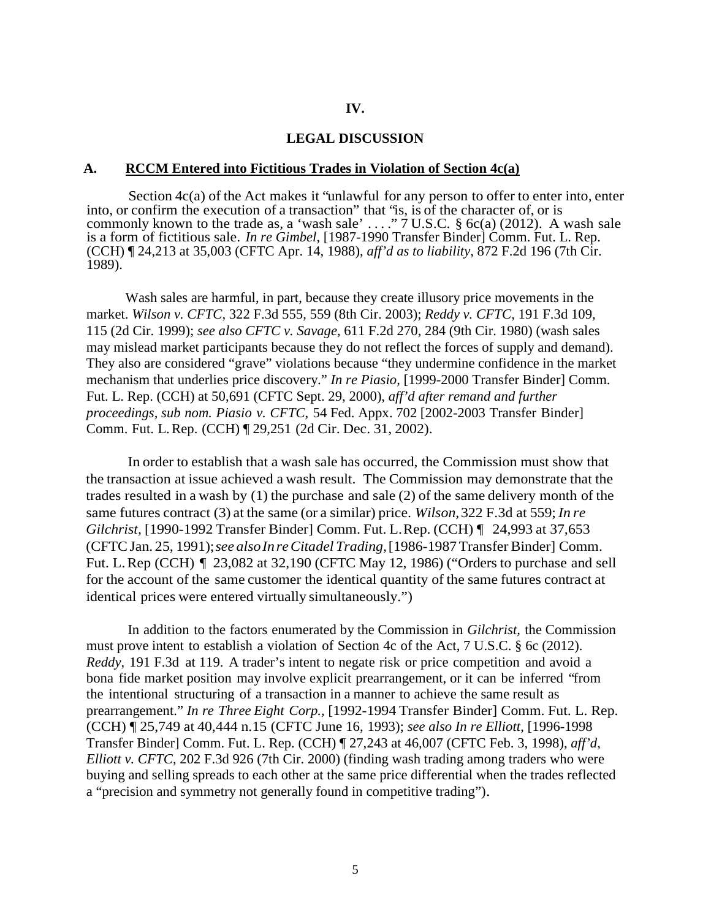### **IV.**

#### **LEGAL DISCUSSION**

#### **A. RCCM Entered into Fictitious Trades in Violation of Section 4c(a)**

 Section 4c(a) of the Act makes it "unlawful for any person to offer to enter into, enter into, or confirm the execution of a transaction" that "is, is of the character of, or is commonly known to the trade as, a 'wash sale' ...."  $7 \overline{U.S.C.}$  §  $6c(a)$  (2012). A wash sale is a form of fictitious sale. *In re Gimbel*, [1987-1990 Transfer Binder] Comm. Fut. L. Rep. (CCH) ¶ 24,213 at 35,003 (CFTC Apr. 14, 1988), *aff'd as to liability*, 872 F.2d 196 (7th Cir. 1989).

 market. *Wilson v. CFTC*, 322 F.3d 555, 559 (8th Cir. 2003); *Reddy v. CFTC*, 191 F.3d 109, 115 (2d Cir. 1999); *see also CFTC v. Savage*, 611 F.2d 270, 284 (9th Cir. 1980) (wash sales  *proceedings, sub nom. Piasio v. CFTC,* 54 Fed. Appx. 702 [2002-2003 Transfer Binder] Comm. Fut. L. Rep. (CCH) ¶ 29,251 (2d Cir. Dec. 31, 2002). Wash sales are harmful, in part, because they create illusory price movements in the may mislead market participants because they do not reflect the forces of supply and demand). They also are considered "grave" violations because "they undermine confidence in the market mechanism that underlies price discovery." *In re Piasio*, [1999-2000 Transfer Binder] Comm. Fut. L. Rep. (CCH) at 50,691 (CFTC Sept. 29, 2000), *aff'd after remand and further* 

 In order to establish that a wash sale has occurred, the Commission must show that the transaction at issue achieved a wash result. The Commission may demonstrate that the trades resulted in a wash by (1) the purchase and sale (2) of the same delivery month of the same futures contract (3) at the same (or a similar) price. *Wilson,* 322 F.3d at 559; *In re Gilchrist,* [1990-1992 Transfer Binder] Comm. Fut. L.Rep. (CCH) ¶ 24,993 at 37,653 (CFTC Jan. 25, 1991);*see alsoIn re Citadel Trading,* [1986-1987 Transfer Binder] Comm. Fut. L. Rep (CCH) ¶ 23,082 at 32,190 (CFTC May 12, 1986) ("Orders to purchase and sell for the account of the same customer the identical quantity of the same futures contract at identical prices were entered virtually simultaneously.")

 In addition to the factors enumerated by the Commission in *Gilchrist,* the Commission must prove intent to establish a violation of Section 4c of the Act, 7 U.S.C. § 6c (2012). *Reddy,* 191 F.3d at 119. A trader's intent to negate risk or price competition and avoid a bona fide market position may involve explicit prearrangement, or it can be inferred "from the intentional structuring of a transaction in a manner to achieve the same result as  prearrangement." *In re Three Eight Corp.,* [1992-1994 Transfer Binder] Comm. Fut. L. Rep. (CCH) ¶ 25,749 at 40,444 n.15 (CFTC June 16, 1993); *see also In re Elliott*, [1996-1998 a "precision and symmetry not generally found in competitive trading"). Transfer Binder] Comm. Fut. L. Rep. (CCH) ¶ 27,243 at 46,007 (CFTC Feb. 3, 1998), *aff'd*, *Elliott v. CFTC*, 202 F.3d 926 (7th Cir. 2000) (finding wash trading among traders who were buying and selling spreads to each other at the same price differential when the trades reflected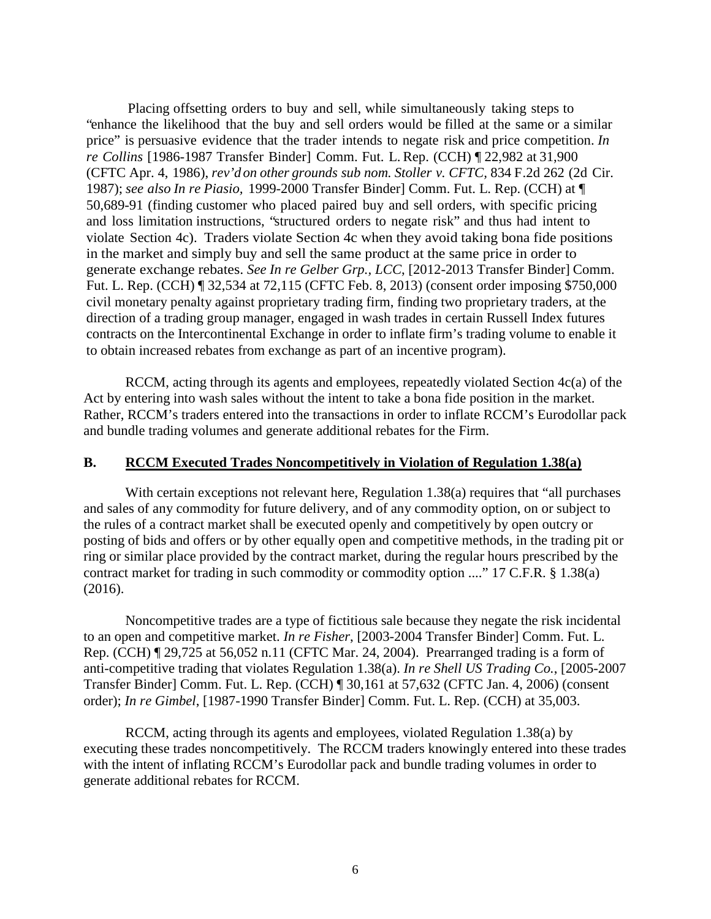Placing offsetting orders to buy and sell, while simultaneously taking steps to "enhance the likelihood that the buy and sell orders would be filled at the same or a similar price" is persuasive evidence that the trader intends to negate risk and price competition. *In re Collins* [1986-1987 Transfer Binder] Comm. Fut. L. Rep. (CCH) ¶ 22,982 at 31,900 (CFTC Apr. 4, 1986), *rev'd on other grounds sub nom. Stoller v. CFTC,* 834 F.2d 262 (2d Cir. 1987); *see also In re Piasio*, 1999-2000 Transfer Binder] Comm. Fut. L. Rep. (CCH) at  $\P$  50,689-91 (finding customer who placed paired buy and sell orders, with specific pricing and loss limitation instructions, "structured orders to negate risk" and thus had intent to violate Section 4c). Traders violate Section 4c when they avoid taking bona fide positions Fut. L. Rep. (CCH) ¶ 32,534 at 72,115 (CFTC Feb. 8, 2013) (consent order imposing \$750,000 civil monetary penalty against proprietary trading firm, finding two proprietary traders, at the contracts on the Intercontinental Exchange in order to inflate firm's trading volume to enable it to obtain increased rebates from exchange as part of an incentive program). in the market and simply buy and sell the same product at the same price in order to generate exchange rebates. *See In re Gelber Grp., LCC*, [2012-2013 Transfer Binder] Comm. direction of a trading group manager, engaged in wash trades in certain Russell Index futures

Act by entering into wash sales without the intent to take a bona fide position in the market. and bundle trading volumes and generate additional rebates for the Firm. RCCM, acting through its agents and employees, repeatedly violated Section  $4c(a)$  of the Rather, RCCM's traders entered into the transactions in order to inflate RCCM's Eurodollar pack.

### **B. RCCM Executed Trades Noncompetitively in Violation of Regulation 1.38(a)**

With certain exceptions not relevant here, Regulation 1.38(a) requires that "all purchases" and sales of any commodity for future delivery, and of any commodity option, on or subject to the rules of a contract market shall be executed openly and competitively by open outcry or posting of bids and offers or by other equally open and competitive methods, in the trading pit or ring or similar place provided by the contract market, during the regular hours prescribed by the contract market for trading in such commodity or commodity option ...." 17 C.F.R. § 1.38(a) (2016).

 to an open and competitive market. *In re Fisher*, [2003-2004 Transfer Binder] Comm. Fut. L. Rep. (CCH) ¶ 29,725 at 56,052 n.11 (CFTC Mar. 24, 2004). Prearranged trading is a form of Transfer Binder] Comm. Fut. L. Rep. (CCH) ¶ 30,161 at 57,632 (CFTC Jan. 4, 2006) (consent order); *In re Gimbel*, [1987-1990 Transfer Binder] Comm. Fut. L. Rep. (CCH) at 35,003. Noncompetitive trades are a type of fictitious sale because they negate the risk incidental anti-competitive trading that violates Regulation 1.38(a). *In re Shell US Trading Co.*, [2005-2007

 executing these trades noncompetitively. The RCCM traders knowingly entered into these trades RCCM, acting through its agents and employees, violated Regulation 1.38(a) by with the intent of inflating RCCM's Eurodollar pack and bundle trading volumes in order to generate additional rebates for RCCM.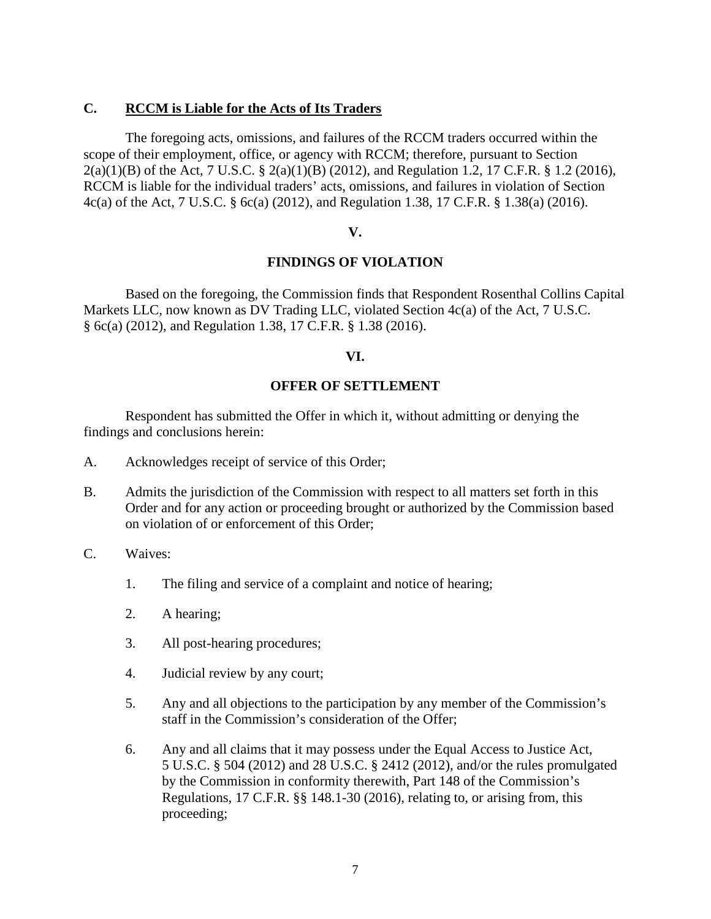### **C. RCCM is Liable for the Acts of Its Traders**

 scope of their employment, office, or agency with RCCM; therefore, pursuant to Section 2(a)(1)(B) of the Act, 7 U.S.C. § 2(a)(1)(B) (2012), and Regulation 1.2, 17 C.F.R. § 1.2 (2016), 4c(a) of the Act, 7 U.S.C. § 6c(a) (2012), and Regulation 1.38, 17 C.F.R. § 1.38(a) (2016). The foregoing acts, omissions, and failures of the RCCM traders occurred within the RCCM is liable for the individual traders' acts, omissions, and failures in violation of Section

### **V.**

### **FINDINGS OF VIOLATION**

 Markets LLC, now known as DV Trading LLC, violated Section 4c(a) of the Act, 7 U.S.C. § 6c(a) (2012), and Regulation 1.38, 17 C.F.R. § 1.38 (2016). Based on the foregoing, the Commission finds that Respondent Rosenthal Collins Capital

### **VI.**

### **OFFER OF SETTLEMENT**

 Respondent has submitted the Offer in which it, without admitting or denying the findings and conclusions herein:

- A. Acknowledges receipt of service of this Order;
- Order and for any action or proceeding brought or authorized by the Commission based on violation of or enforcement of this Order; B. Admits the jurisdiction of the Commission with respect to all matters set forth in this
- Waives:
- C. Waives:<br>1. The filing and service of a complaint and notice of hearing;
	- 2. A hearing:
	- 3. All post-hearing procedures;
	- 4. Judicial review by any court;
	- 5. Any and all objections to the participation by any member of the Commission's staff in the Commission's consideration of the Offer;
	- Regulations, 17 C.F.R. §§ 148.1-30 (2016), relating to, or arising from, this 6. Any and all claims that it may possess under the Equal Access to Justice Act, 5 U.S.C. § 504 (2012) and 28 U.S.C. § 2412 (2012), and/or the rules promulgated by the Commission in conformity therewith, Part 148 of the Commission's proceeding;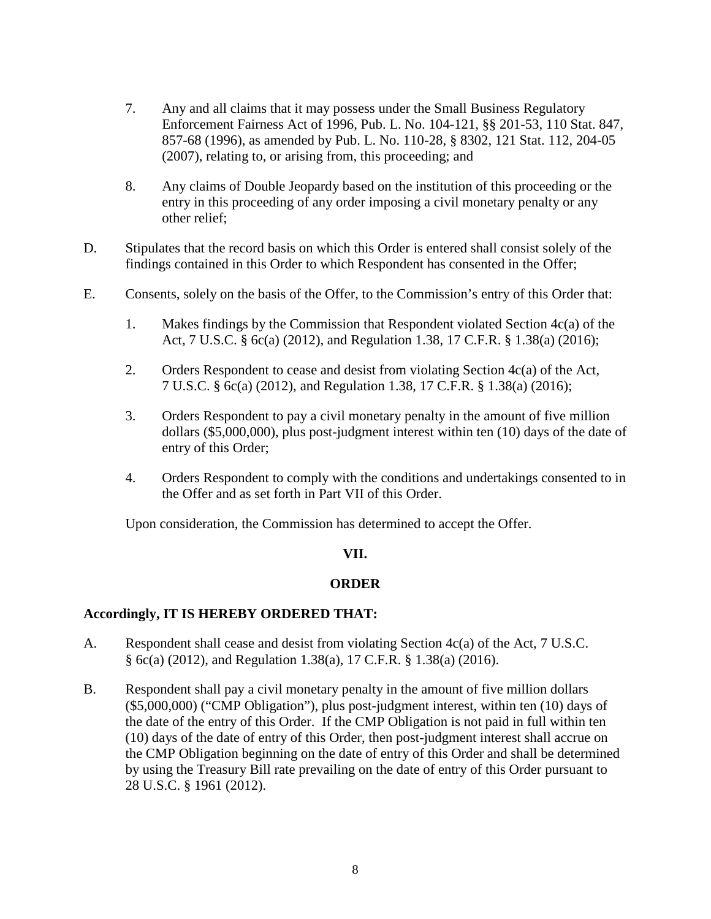- 857-68 (1996), as amended by Pub. L. No. 110-28, § 8302, 121 Stat. 112, 204-05 . Any and all claims that it may possess under the Small Business Regulatory Enforcement Fairness Act of 1996, Pub. L. No. 104-121, §§ 201-53, 110 Stat. 847, (2007), relating to, or arising from, this proceeding; and
- 8. Any claims of Double Jeopardy based on the institution of this proceeding or the 8. entry in this proceeding of any order imposing a civil monetary penalty or any other relief;
- findings contained in this Order to which Respondent has consented in the Offer; D. Stipulates that the record basis on which this Order is entered shall consist solely of the
- E. Consents, solely on the basis of the Offer, to the Commission's entry of this Order that:
	- Act, 7 U.S.C. § 6c(a) (2012), and Regulation 1.38, 17 C.F.R. § 1.38(a) (2016); 1. Makes findings by the Commission that Respondent violated Section 4c(a) of the
	- 2. Orders Respondent to cease and desist from violating Section  $4c(a)$  of the Act, 7 U.S.C. § 6c(a) (2012), and Regulation 1.38, 17 C.F.R. § 1.38(a) (2016);
	- 3. Orders Respondent to pay a civil monetary penalty in the amount of five million dollars (\$5,000,000), plus post-judgment interest within ten (10) days of the date of entry of this Order;
	- 4. Orders Respondent to comply with the conditions and undertakings consented to in the Offer and as set forth in Part VII of this Order.

Upon consideration, the Commission has determined to accept the Offer.

### **VII.**

# **ORDER**

### **Accordingly, IT IS HEREBY ORDERED THAT:**

- § 6c(a) (2012), and Regulation 1.38(a), 17 C.F.R. § 1.38(a) (2016). A. Respondent shall cease and desist from violating Section  $4c(a)$  of the Act, 7 U.S.C.
- (\$5,000,000) ("CMP Obligation"), plus post-judgment interest, within ten (10) days of the date of the entry of this Order. If the CMP Obligation is not paid in full within ten 28 U.S.C. § 1961 (2012). B. Respondent shall pay a civil monetary penalty in the amount of five million dollars (10) days of the date of entry of this Order, then post-judgment interest shall accrue on the CMP Obligation beginning on the date of entry of this Order and shall be determined by using the Treasury Bill rate prevailing on the date of entry of this Order pursuant to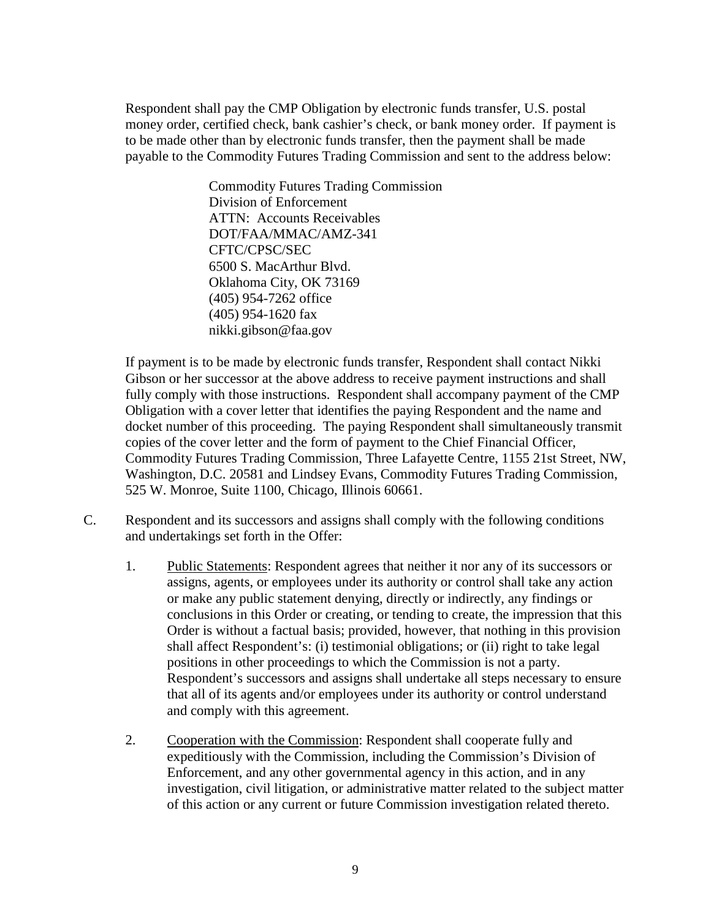Respondent shall pay the CMP Obligation by electronic funds transfer, U.S. postal to be made other than by electronic funds transfer, then the payment shall be made payable to the Commodity Futures Trading Commission and sent to the address below: money order, certified check, bank cashier's check, or bank money order. If payment is

> 6500 S. MacArthur Blvd. Commodity Futures Trading Commission Division of Enforcement ATTN: Accounts Receivables DOT/FAA/MMAC/AMZ-341 CFTC/CPSC/SEC Oklahoma City, OK 73169 (405) 954-7262 office (405) 954-1620 fax nikki.gibson@faa.gov

 If payment is to be made by electronic funds transfer, Respondent shall contact Nikki Gibson or her successor at the above address to receive payment instructions and shall fully comply with those instructions. Respondent shall accompany payment of the CMP 525 W. Monroe, Suite 1100, Chicago, Illinois 60661. Obligation with a cover letter that identifies the paying Respondent and the name and docket number of this proceeding. The paying Respondent shall simultaneously transmit copies of the cover letter and the form of payment to the Chief Financial Officer, Commodity Futures Trading Commission, Three Lafayette Centre, 1155 21st Street, NW, Washington, D.C. 20581 and Lindsey Evans, Commodity Futures Trading Commission,

- 525 W. Monroe, Suite 1100, Chicago, Illinois 60661.<br>C. Respondent and its successors and assigns shall comply with the following conditions and undertakings set forth in the Offer:
	- 1. Public Statements: Respondent agrees that neither it nor any of its successors or assigns, agents, or employees under its authority or control shall take any action positions in other proceedings to which the Commission is not a party. that all of its agents and/or employees under its authority or control understand and comply with this agreement. or make any public statement denying, directly or indirectly, any findings or conclusions in this Order or creating, or tending to create, the impression that this Order is without a factual basis; provided, however, that nothing in this provision shall affect Respondent's: (i) testimonial obligations; or (ii) right to take legal Respondent's successors and assigns shall undertake all steps necessary to ensure
	- expeditiously with the Commission, including the Commission's Division of 2. Cooperation with the Commission: Respondent shall cooperate fully and Enforcement, and any other governmental agency in this action, and in any investigation, civil litigation, or administrative matter related to the subject matter of this action or any current or future Commission investigation related thereto.